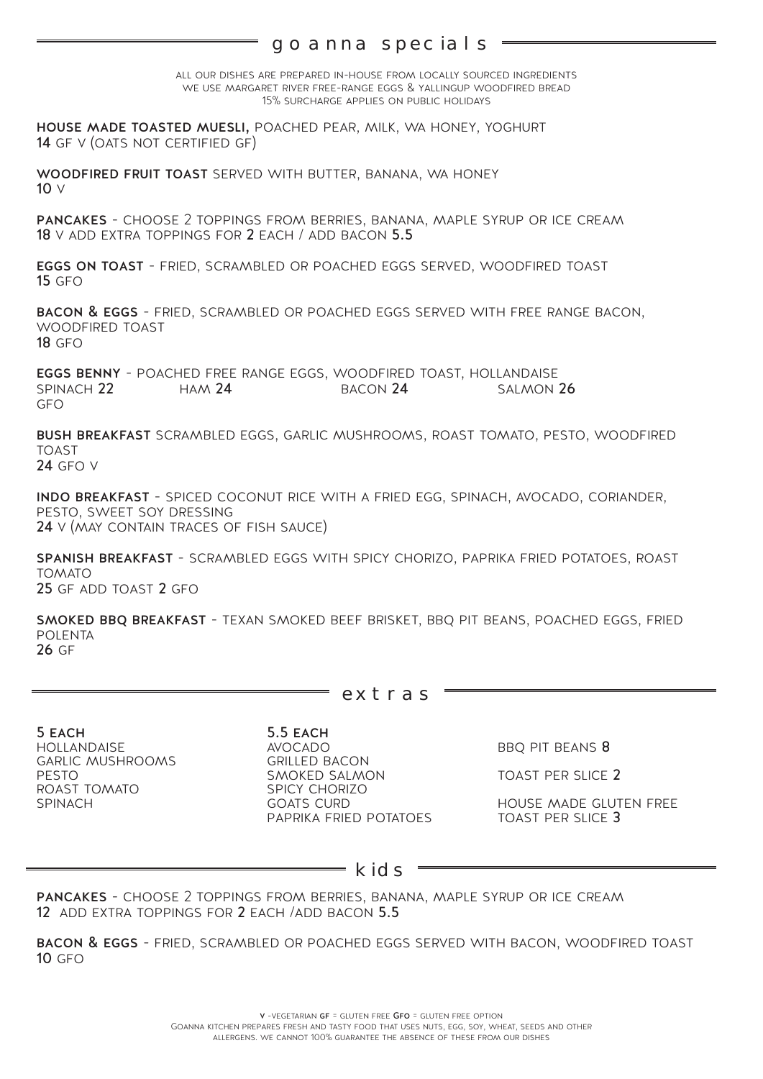## goanna specials

all our dishes are prepared in-house from locally sourced ingredients we use margaret river free-range eggs & yallingup woodfired bread 15% surcharge applies on public holidays

house made toasted muesli, poached pear, milk, wa honey, yoghurt **14** GF V (OATS NOT CERTIFIED GF)

woodfired fruit toast served with butter, banana, wa honey 10 v

pancakes - choose 2 toppings from berries, banana, maple syrup or ice cream 18 v add extra toppings for 2 each / add bacon 5.5

eggs on toast - fried, scrambled or poached eggs served, woodfired toast  $15$  GFO

bacon & eggs - fried, scrambled or poached eggs served with free range bacon, woodfired toast **18 GFO** 

eggs benny - poached free range eggs, woodfired toast, hollandaise SPINACH 22 gfo

bush breakfast scrambled eggs, garlic mushrooms, roast tomato, pesto, woodfired toast 24 gfo v

indo breakfast - spiced coconut rice with a fried egg, spinach, avocado, coriander, pesto, sweet soy dressing 24 v (may contain traces of fish sauce)

spanish breakfast - scrambled eggs with spicy chorizo, paprika fried potatoes, roast tomato 25 gf add toast 2 gfo

smoked bbq breakfast - texan smoked beef brisket, bbq pit beans, poached eggs, fried polenta 26 gf

5 each 5.5 each hollandaise avocado bbq pit beans <sup>8</sup> GARLIC MUSHROOMS GRILLED BACON<br>PESTO GALMON SMOKED SALMON

extras

pesto smoked salmon toast per slice 2 roast tomato spicy chorizo spicy chorizo<br>Spinach goats curd house made gluten free<br>Paprika fried potatoes to toast per slice **3** 

kids

pancakes - choose 2 toppings from berries, banana, maple syrup or ice cream 12 add extra toppings for 2 each /add bacon 5.5

bacon & eggs - fried, scrambled or poached eggs served with bacon, woodfired toast **10 GFO**